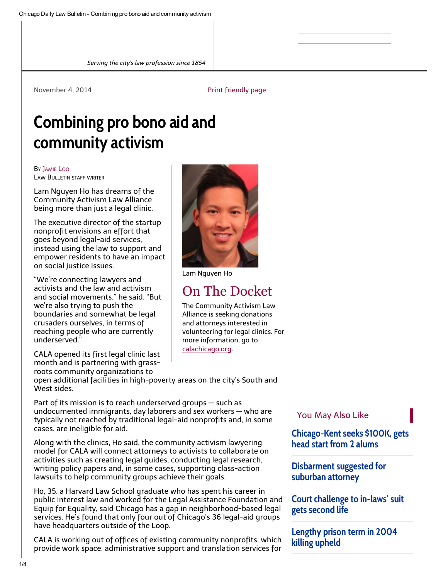Serving the city's law profession since 1854

#### November 4, 2014 **[Print friendly page](http://www.chicagolawbulletin.com/Elements/pages/print.aspx?printpath=/Articles/2014/11/04/CALA-Activism-Pro-Bono-11-4-14&classname=tera.gn3article)**

# Combining pro bono aid and community activism

BY J[AMIE](http://www.chicagolawbulletin.com/Home/Customer-Center/staff/Jamie-Loo.aspx) LOO LAW BULLETIN STAFF WRITER

Lam Nguyen Ho has dreams of the Community Activism Law Alliance being more than just a legal clinic.

The executive director of the startup nonprofit envisions an effort that goes beyond legal-aid services, instead using the law to support and empower residents to have an impact on social justice issues.

"We're connecting lawyers and activists and the law and activism and social movements," he said. "But we're also trying to push the boundaries and somewhat be legal crusaders ourselves, in terms of reaching people who are currently underserved."

CALA opened its first legal clinic last month and is partnering with grassroots community organizations to

open additional facilities in high-poverty areas on the city's South and West sides.

Part of its mission is to reach underserved groups — such as undocumented immigrants, day laborers and sex workers — who are typically not reached by traditional legal-aid nonprofits and, in some cases, are ineligible for aid.

Along with the clinics, Ho said, the community activism lawyering model for CALA will connect attorneys to activists to collaborate on activities such as creating legal guides, conducting legal research, writing policy papers and, in some cases, supporting class-action lawsuits to help community groups achieve their goals.

Ho, 35, a Harvard Law School graduate who has spent his career in public interest law and worked for the Legal Assistance Foundation and Equip for Equality, said Chicago has a gap in neighborhood-based legal services. He's found that only four out of Chicago's 36 legal-aid groups have headquarters outside of the Loop.

CALA is working out of offices of existing community nonprofits, which provide work space, administrative support and translation services for

#### You May Also Like

[Chicago-Kent seeks \\$100K, gets](http://www.chicagolawbulletin.com/Articles/2014/10/29/IIT-Chicago-Kent-Giving-10-29-14.aspx) head start from 2 alums

[Disbarment suggested for](http://www.chicagolawbulletin.com/Articles/2014/11/03/ARDC-John-Peiss-11-3-2014.aspx) suburban attorney

[Court challenge to in-laws' suit](http://www.chicagolawbulletin.com/Articles/2014/10/30/Prosecution-Reversed-10-30-14.aspx) gets second life

[Lengthy prison term in 2004](http://www.chicagolawbulletin.com/Articles/2014/10/31/sentence-10-31-14.aspx) killing upheld



Lam Nguyen Ho

# On The Docket

The Community Activism Law Alliance is seeking donations and attorneys interested in volunteering for legal clinics. For more information, go to [calachicago.org](http://www.calachicago.org/).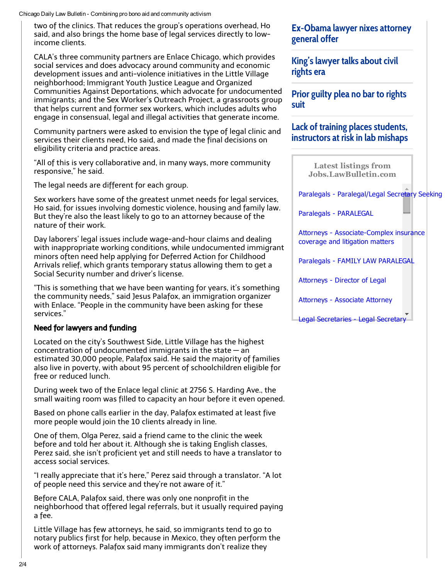Chicago Daily Law Bulletin - Combining pro bono aid and community activism

two of the clinics. That reduces the group's operations overhead, Ho said, and also brings the home base of legal services directly to lowincome clients.

CALA's three community partners are Enlace Chicago, which provides social services and does advocacy around community and economic development issues and anti-violence initiatives in the Little Village neighborhood; Immigrant Youth Justice League and Organized Communities Against Deportations, which advocate for undocumented immigrants; and the Sex Worker's Outreach Project, a grassroots group that helps current and former sex workers, which includes adults who engage in consensual, legal and illegal activities that generate income.

Community partners were asked to envision the type of legal clinic and services their clients need, Ho said, and made the final decisions on eligibility criteria and practice areas.

"All of this is very collaborative and, in many ways, more community responsive," he said.

The legal needs are different for each group.

Sex workers have some of the greatest unmet needs for legal services, Ho said, for issues involving domestic violence, housing and family law. But they're also the least likely to go to an attorney because of the nature of their work.

Day laborers' legal issues include wage-and-hour claims and dealing with inappropriate working conditions, while undocumented immigrant minors often need help applying for Deferred Action for Childhood Arrivals relief, which grants temporary status allowing them to get a Social Security number and driver's license.

"This is something that we have been wanting for years, it's something the community needs," said Jesus Palafox, an immigration organizer with Enlace. "People in the community have been asking for these services."

#### Need for lawyers and funding

Located on the city's Southwest Side, Little Village has the highest concentration of undocumented immigrants in the state — an estimated 30,000 people, Palafox said. He said the majority of families also live in poverty, with about 95 percent of schoolchildren eligible for free or reduced lunch.

During week two of the Enlace legal clinic at 2756 S. Harding Ave., the small waiting room was filled to capacity an hour before it even opened.

Based on phone calls earlier in the day, Palafox estimated at least five more people would join the 10 clients already in line.

One of them, Olga Perez, said a friend came to the clinic the week before and told her about it. Although she is taking English classes, Perez said, she isn't proficient yet and still needs to have a translator to access social services.

"I really appreciate that it's here," Perez said through a translator. "A lot of people need this service and they're not aware of it."

Before CALA, Palafox said, there was only one nonprofit in the neighborhood that offered legal referrals, but it usually required paying a fee.

Little Village has few attorneys, he said, so immigrants tend to go to notary publics first for help, because in Mexico, they often perform the work of attorneys. Palafox said many immigrants don't realize they

### [Ex-Obama lawyer nixes attorney](http://www.chicagolawbulletin.com/Articles/2014/10/27/Lawyer-Attorney-General-10-27-14.aspx) general offer

[King's lawyer talks about civil](http://www.chicagolawbulletin.com/Articles/2014/11/03/Clarence-Jones-King-11-3-14.aspx) rights era

[Prior guilty plea no bar to rights](http://www.chicagolawbulletin.com/Articles/2014/10/22/Unlawful-Seizure-Plea-10-22-14.aspx) suit

## Lack of training places students, [instructors at risk in lab mishaps](http://www.chicagolawbulletin.com/Articles/2014/10/31/Training-10-31-14.aspx)

Latest listings from [Jobs.LawBulletin.com](http://jobs.lawbulletin.com/)

[Paralegals - Paralegal/Legal Secretary Seeking](http://jobs.lawbulletin.com/adview.cfm?id=16469)

[Paralegals - PARALEGAL](http://jobs.lawbulletin.com/adview.cfm?id=16476)

[Attorneys - Associate-Complex insurance](http://jobs.lawbulletin.com/adview.cfm?id=16482) coverage and litigation matters

[Paralegals - FAMILY LAW PARALEGAL](http://jobs.lawbulletin.com/adview.cfm?id=16456)

[Attorneys - Director of Legal](http://jobs.lawbulletin.com/adview.cfm?id=16457)

[Attorneys - Associate Attorney](http://jobs.lawbulletin.com/adview.cfm?id=16362)

[Legal Secretaries - Legal Secretary](http://jobs.lawbulletin.com/adview.cfm?id=16420)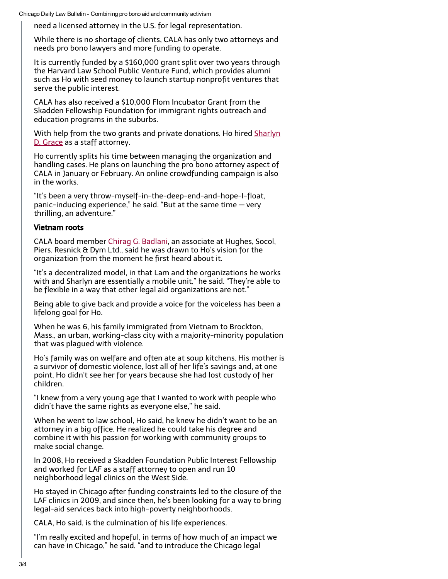Chicago Daily Law Bulletin - Combining pro bono aid and community activism

need a licensed attorney in the U.S. for legal representation.

While there is no shortage of clients, CALA has only two attorneys and needs pro bono lawyers and more funding to operate.

It is currently funded by a \$160,000 grant split over two years through the Harvard Law School Public Venture Fund, which provides alumni such as Ho with seed money to launch startup nonprofit ventures that serve the public interest.

CALA has also received a \$10,000 Flom Incubator Grant from the Skadden Fellowship Foundation for immigrant rights outreach and education programs in the suburbs.

With help from the two grants and private donations, Ho hired Sharlyn D. Grace as a staff attorney.

Ho currently splits his time between managing the organization and handling cases. He plans on launching the pro bono attorney aspect of CALA in January or February. An online crowdfunding campaign is also in the works.

"It's been a very throw-myself-in-the-deep-end-and-hope-I-float, panic-inducing experience," he said. "But at the same time — very thrilling, an adventure."

#### Vietnam roots

CALA board member Chirag G. Badlani, an associate at Hughes, Socol, Piers, Resnick & Dym Ltd., said he was drawn to Ho's vision for the organization from the moment he first heard about it.

"It's a decentralized model, in that Lam and the organizations he works with and Sharlyn are essentially a mobile unit," he said. "They're able to be flexible in a way that other legal aid organizations are not."

Being able to give back and provide a voice for the voiceless has been a lifelong goal for Ho.

When he was 6, his family immigrated from Vietnam to Brockton, Mass., an urban, working-class city with a majority-minority population that was plagued with violence.

Ho's family was on welfare and often ate at soup kitchens. His mother is a survivor of domestic violence, lost all of her life's savings and, at one point, Ho didn't see her for years because she had lost custody of her children.

"I knew from a very young age that I wanted to work with people who didn't have the same rights as everyone else," he said.

When he went to law school, Ho said, he knew he didn't want to be an attorney in a big office. He realized he could take his degree and combine it with his passion for working with community groups to make social change.

In 2008, Ho received a Skadden Foundation Public Interest Fellowship and worked for LAF as a staff attorney to open and run 10 neighborhood legal clinics on the West Side.

Ho stayed in Chicago after funding constraints led to the closure of the LAF clinics in 2009, and since then, he's been looking for a way to bring legal-aid services back into high-poverty neighborhoods.

CALA, Ho said, is the culmination of his life experiences.

"I'm really excited and hopeful, in terms of how much of an impact we can have in Chicago," he said, "and to introduce the Chicago legal